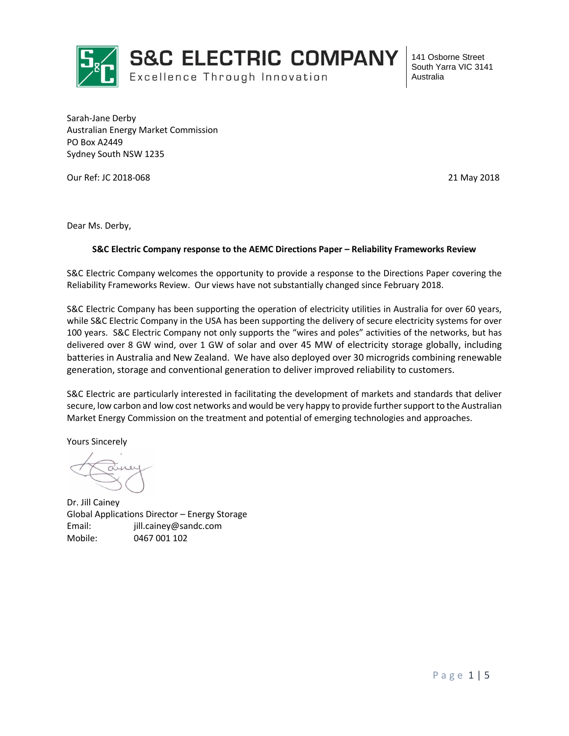

Sarah-Jane Derby Australian Energy Market Commission PO Box A2449 Sydney South NSW 1235

Our Ref: JC 2018-068 21 May 2018

Dear Ms. Derby,

#### **S&C Electric Company response to the AEMC Directions Paper – Reliability Frameworks Review**

S&C Electric Company welcomes the opportunity to provide a response to the Directions Paper covering the Reliability Frameworks Review. Our views have not substantially changed since February 2018.

S&C Electric Company has been supporting the operation of electricity utilities in Australia for over 60 years, while S&C Electric Company in the USA has been supporting the delivery of secure electricity systems for over 100 years. S&C Electric Company not only supports the "wires and poles" activities of the networks, but has delivered over 8 GW wind, over 1 GW of solar and over 45 MW of electricity storage globally, including batteries in Australia and New Zealand. We have also deployed over 30 microgrids combining renewable generation, storage and conventional generation to deliver improved reliability to customers.

S&C Electric are particularly interested in facilitating the development of markets and standards that deliver secure, low carbon and low cost networks and would be very happy to provide further support to the Australian Market Energy Commission on the treatment and potential of emerging technologies and approaches.

Yours Sincerely

Dr. Jill Cainey Global Applications Director – Energy Storage Email: jill.cainey@sandc.com Mobile: 0467 001 102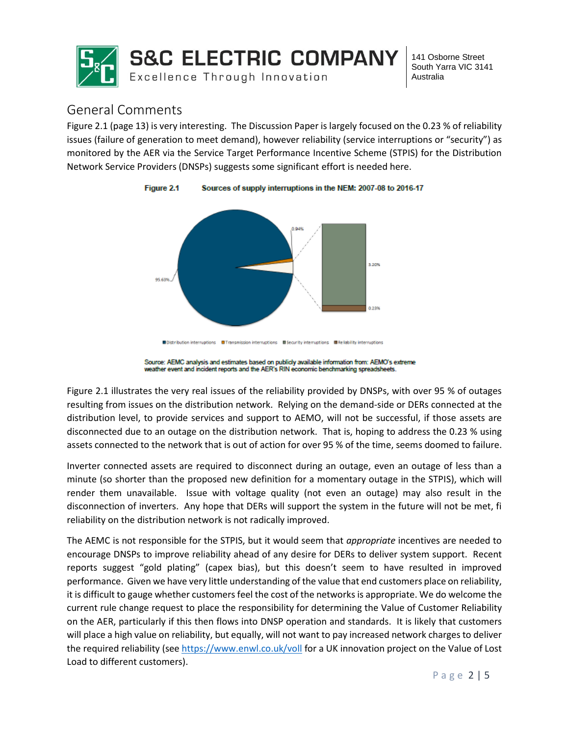

# General Comments

Figure 2.1 (page 13) is very interesting. The Discussion Paper is largely focused on the 0.23 % of reliability issues (failure of generation to meet demand), however reliability (service interruptions or "security") as monitored by the AER via the Service Target Performance Incentive Scheme (STPIS) for the Distribution Network Service Providers (DNSPs) suggests some significant effort is needed here.





Figure 2.1 illustrates the very real issues of the reliability provided by DNSPs, with over 95 % of outages resulting from issues on the distribution network. Relying on the demand-side or DERs connected at the distribution level, to provide services and support to AEMO, will not be successful, if those assets are disconnected due to an outage on the distribution network. That is, hoping to address the 0.23 % using assets connected to the network that is out of action for over 95 % of the time, seems doomed to failure.

Inverter connected assets are required to disconnect during an outage, even an outage of less than a minute (so shorter than the proposed new definition for a momentary outage in the STPIS), which will render them unavailable. Issue with voltage quality (not even an outage) may also result in the disconnection of inverters. Any hope that DERs will support the system in the future will not be met, fi reliability on the distribution network is not radically improved.

The AEMC is not responsible for the STPIS, but it would seem that *appropriate* incentives are needed to encourage DNSPs to improve reliability ahead of any desire for DERs to deliver system support. Recent reports suggest "gold plating" (capex bias), but this doesn't seem to have resulted in improved performance. Given we have very little understanding of the value that end customers place on reliability, it is difficult to gauge whether customers feel the cost of the networks is appropriate. We do welcome the current rule change request to place the responsibility for determining the Value of Customer Reliability on the AER, particularly if this then flows into DNSP operation and standards. It is likely that customers will place a high value on reliability, but equally, will not want to pay increased network charges to deliver the required reliability (se[e https://www.enwl.co.uk/voll](https://www.enwl.co.uk/voll) for a UK innovation project on the Value of Lost Load to different customers).

Source: AEMC analysis and estimates based on publicly available information from: AEMO's extreme weather event and incident reports and the AER's RIN economic benchmarking spreadsheets.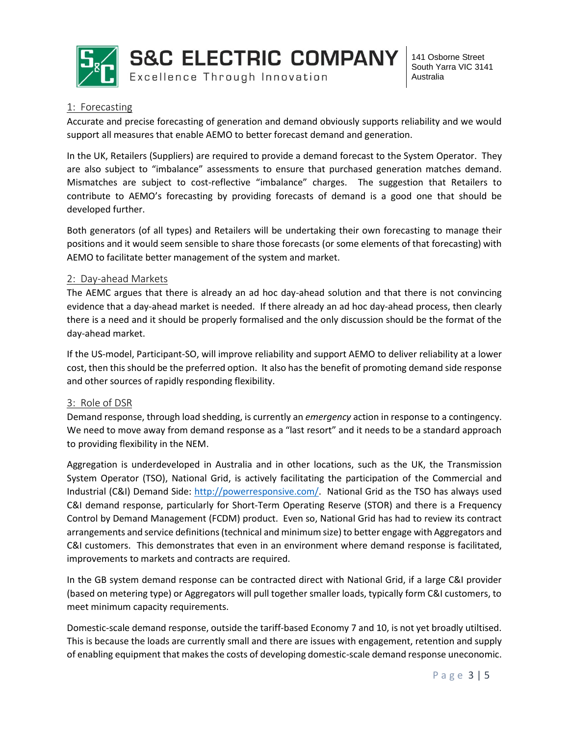

# 1: Forecasting

Accurate and precise forecasting of generation and demand obviously supports reliability and we would support all measures that enable AEMO to better forecast demand and generation.

In the UK, Retailers (Suppliers) are required to provide a demand forecast to the System Operator. They are also subject to "imbalance" assessments to ensure that purchased generation matches demand. Mismatches are subject to cost-reflective "imbalance" charges. The suggestion that Retailers to contribute to AEMO's forecasting by providing forecasts of demand is a good one that should be developed further.

Both generators (of all types) and Retailers will be undertaking their own forecasting to manage their positions and it would seem sensible to share those forecasts (or some elements of that forecasting) with AEMO to facilitate better management of the system and market.

## 2: Day-ahead Markets

The AEMC argues that there is already an ad hoc day-ahead solution and that there is not convincing evidence that a day-ahead market is needed. If there already an ad hoc day-ahead process, then clearly there is a need and it should be properly formalised and the only discussion should be the format of the day-ahead market.

If the US-model, Participant-SO, will improve reliability and support AEMO to deliver reliability at a lower cost, then this should be the preferred option. It also has the benefit of promoting demand side response and other sources of rapidly responding flexibility.

### 3: Role of DSR

Demand response, through load shedding, is currently an *emergency* action in response to a contingency. We need to move away from demand response as a "last resort" and it needs to be a standard approach to providing flexibility in the NEM.

Aggregation is underdeveloped in Australia and in other locations, such as the UK, the Transmission System Operator (TSO), National Grid, is actively facilitating the participation of the Commercial and Industrial (C&I) Demand Side: [http://powerresponsive.com/.](http://powerresponsive.com/) National Grid as the TSO has always used C&I demand response, particularly for Short-Term Operating Reserve (STOR) and there is a Frequency Control by Demand Management (FCDM) product. Even so, National Grid has had to review its contract arrangements and service definitions (technical and minimum size) to better engage with Aggregators and C&I customers. This demonstrates that even in an environment where demand response is facilitated, improvements to markets and contracts are required.

In the GB system demand response can be contracted direct with National Grid, if a large C&I provider (based on metering type) or Aggregators will pull together smaller loads, typically form C&I customers, to meet minimum capacity requirements.

Domestic-scale demand response, outside the tariff-based Economy 7 and 10, is not yet broadly utiltised. This is because the loads are currently small and there are issues with engagement, retention and supply of enabling equipment that makes the costs of developing domestic-scale demand response uneconomic.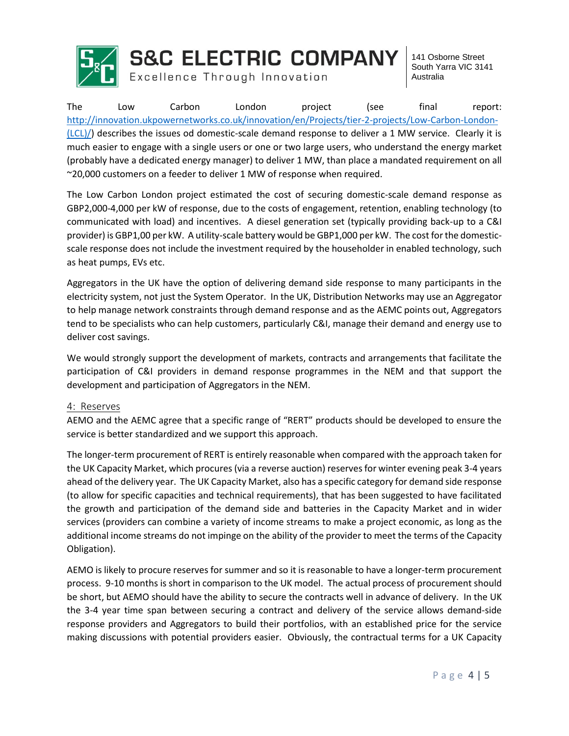

The Low Carbon London project (see final report: [http://innovation.ukpowernetworks.co.uk/innovation/en/Projects/tier-2-projects/Low-Carbon-London-](http://innovation.ukpowernetworks.co.uk/innovation/en/Projects/tier-2-projects/Low-Carbon-London-(LCL)/) [\(LCL\)/\)](http://innovation.ukpowernetworks.co.uk/innovation/en/Projects/tier-2-projects/Low-Carbon-London-(LCL)/) describes the issues od domestic-scale demand response to deliver a 1 MW service. Clearly it is much easier to engage with a single users or one or two large users, who understand the energy market (probably have a dedicated energy manager) to deliver 1 MW, than place a mandated requirement on all ~20,000 customers on a feeder to deliver 1 MW of response when required.

The Low Carbon London project estimated the cost of securing domestic-scale demand response as GBP2,000-4,000 per kW of response, due to the costs of engagement, retention, enabling technology (to communicated with load) and incentives. A diesel generation set (typically providing back-up to a C&I provider) is GBP1,00 per kW. A utility-scale battery would be GBP1,000 per kW. The cost for the domesticscale response does not include the investment required by the householder in enabled technology, such as heat pumps, EVs etc.

Aggregators in the UK have the option of delivering demand side response to many participants in the electricity system, not just the System Operator. In the UK, Distribution Networks may use an Aggregator to help manage network constraints through demand response and as the AEMC points out, Aggregators tend to be specialists who can help customers, particularly C&I, manage their demand and energy use to deliver cost savings.

We would strongly support the development of markets, contracts and arrangements that facilitate the participation of C&I providers in demand response programmes in the NEM and that support the development and participation of Aggregators in the NEM.

### 4: Reserves

AEMO and the AEMC agree that a specific range of "RERT" products should be developed to ensure the service is better standardized and we support this approach.

The longer-term procurement of RERT is entirely reasonable when compared with the approach taken for the UK Capacity Market, which procures (via a reverse auction) reserves for winter evening peak 3-4 years ahead of the delivery year. The UK Capacity Market, also has a specific category for demand side response (to allow for specific capacities and technical requirements), that has been suggested to have facilitated the growth and participation of the demand side and batteries in the Capacity Market and in wider services (providers can combine a variety of income streams to make a project economic, as long as the additional income streams do not impinge on the ability of the provider to meet the terms of the Capacity Obligation).

AEMO is likely to procure reserves for summer and so it is reasonable to have a longer-term procurement process. 9-10 months is short in comparison to the UK model. The actual process of procurement should be short, but AEMO should have the ability to secure the contracts well in advance of delivery. In the UK the 3-4 year time span between securing a contract and delivery of the service allows demand-side response providers and Aggregators to build their portfolios, with an established price for the service making discussions with potential providers easier. Obviously, the contractual terms for a UK Capacity